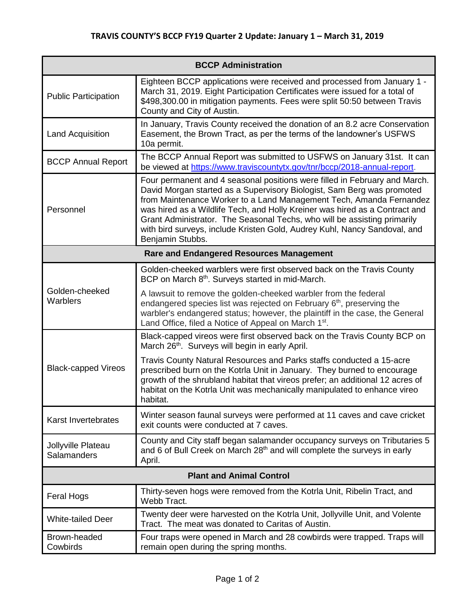| <b>BCCP Administration</b>                      |                                                                                                                                                                                                                                                                                                                                                                                                                                                                                         |  |
|-------------------------------------------------|-----------------------------------------------------------------------------------------------------------------------------------------------------------------------------------------------------------------------------------------------------------------------------------------------------------------------------------------------------------------------------------------------------------------------------------------------------------------------------------------|--|
| <b>Public Participation</b>                     | Eighteen BCCP applications were received and processed from January 1 -<br>March 31, 2019. Eight Participation Certificates were issued for a total of<br>\$498,300.00 in mitigation payments. Fees were split 50:50 between Travis<br>County and City of Austin.                                                                                                                                                                                                                       |  |
| <b>Land Acquisition</b>                         | In January, Travis County received the donation of an 8.2 acre Conservation<br>Easement, the Brown Tract, as per the terms of the landowner's USFWS<br>10a permit.                                                                                                                                                                                                                                                                                                                      |  |
| <b>BCCP Annual Report</b>                       | The BCCP Annual Report was submitted to USFWS on January 31st. It can<br>be viewed at https://www.traviscountytx.gov/tnr/bccp/2018-annual-report.                                                                                                                                                                                                                                                                                                                                       |  |
| Personnel                                       | Four permanent and 4 seasonal positions were filled in February and March.<br>David Morgan started as a Supervisory Biologist, Sam Berg was promoted<br>from Maintenance Worker to a Land Management Tech, Amanda Fernandez<br>was hired as a Wildlife Tech, and Holly Kreiner was hired as a Contract and<br>Grant Administrator. The Seasonal Techs, who will be assisting primarily<br>with bird surveys, include Kristen Gold, Audrey Kuhl, Nancy Sandoval, and<br>Benjamin Stubbs. |  |
| <b>Rare and Endangered Resources Management</b> |                                                                                                                                                                                                                                                                                                                                                                                                                                                                                         |  |
| Golden-cheeked<br>Warblers                      | Golden-cheeked warblers were first observed back on the Travis County<br>BCP on March 8 <sup>th</sup> . Surveys started in mid-March.                                                                                                                                                                                                                                                                                                                                                   |  |
|                                                 | A lawsuit to remove the golden-cheeked warbler from the federal<br>endangered species list was rejected on February $6th$ , preserving the<br>warbler's endangered status; however, the plaintiff in the case, the General<br>Land Office, filed a Notice of Appeal on March 1 <sup>st</sup> .                                                                                                                                                                                          |  |
| <b>Black-capped Vireos</b>                      | Black-capped vireos were first observed back on the Travis County BCP on<br>March 26th. Surveys will begin in early April.                                                                                                                                                                                                                                                                                                                                                              |  |
|                                                 | Travis County Natural Resources and Parks staffs conducted a 15-acre<br>prescribed burn on the Kotrla Unit in January. They burned to encourage<br>growth of the shrubland habitat that vireos prefer; an additional 12 acres of<br>habitat on the Kotrla Unit was mechanically manipulated to enhance vireo<br>habitat.                                                                                                                                                                |  |
| Karst Invertebrates                             | Winter season faunal surveys were performed at 11 caves and cave cricket<br>exit counts were conducted at 7 caves.                                                                                                                                                                                                                                                                                                                                                                      |  |
| Jollyville Plateau<br>Salamanders               | County and City staff began salamander occupancy surveys on Tributaries 5<br>and 6 of Bull Creek on March 28 <sup>th</sup> and will complete the surveys in early<br>April.                                                                                                                                                                                                                                                                                                             |  |
| <b>Plant and Animal Control</b>                 |                                                                                                                                                                                                                                                                                                                                                                                                                                                                                         |  |
| Feral Hogs                                      | Thirty-seven hogs were removed from the Kotrla Unit, Ribelin Tract, and<br>Webb Tract.                                                                                                                                                                                                                                                                                                                                                                                                  |  |
| <b>White-tailed Deer</b>                        | Twenty deer were harvested on the Kotrla Unit, Jollyville Unit, and Volente<br>Tract. The meat was donated to Caritas of Austin.                                                                                                                                                                                                                                                                                                                                                        |  |
| Brown-headed<br>Cowbirds                        | Four traps were opened in March and 28 cowbirds were trapped. Traps will<br>remain open during the spring months.                                                                                                                                                                                                                                                                                                                                                                       |  |